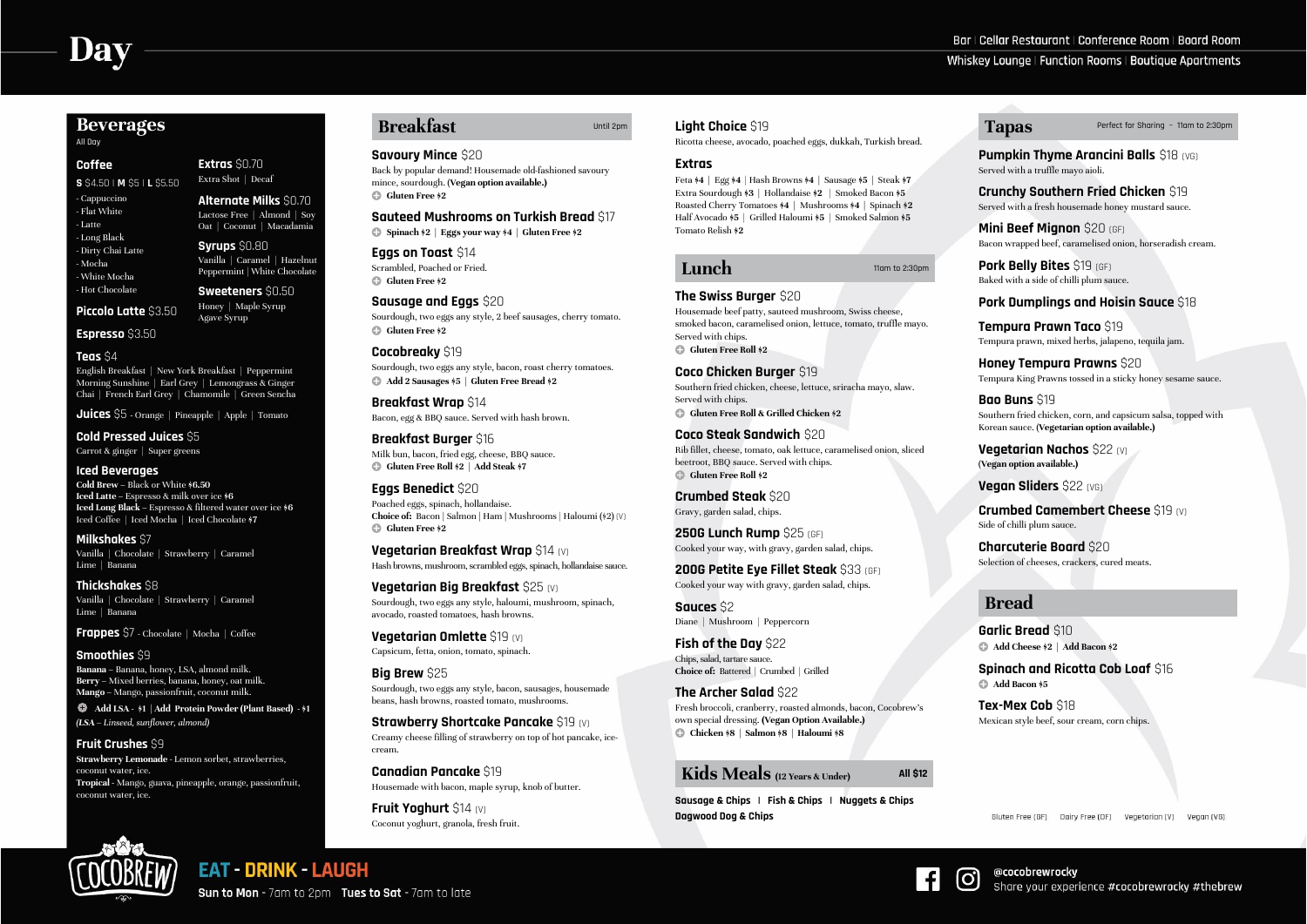# **Beverages**

All Day

#### **Coffee**

**S** \$4.50 | **M** \$5 | **L** \$5.50

- Cappuccino - Flat White - Latte - Long Black - Dirty Chai Latte - Mocha - White Mocha - Hot Chocolate

**Piccolo Latte** \$3.50

**Espresso** \$3.50

**Extras** \$0.70 Extra Shot | Decaf

**Alternate Milks** \$0.70

Lactose Free | Almond | Soy Oat | Coconut | Macadamia **Syrups** \$0.80 Vanilla | Caramel | Hazelnut Peppermint | White Chocolate

**Sweeteners** \$0.50 Honey | Maple Syrup Agave Syrup

# Bar | Cellar Restaurant | Conference Room | Board Room Whiskey Lounge | Function Rooms | Boutique Apartments

# **Teas** \$4

English Breakfast | New York Breakfast | Peppermint Morning Sunshine | Earl Grey | Lemongrass & Ginger Chai | French Earl Grey | Chamomile | Green Sencha

**Juices** \$5 **-** Orange | Pineapple | Apple | Tomato

**Cold Pressed Juices** \$5 Carrot & ginger | Super greens

# **Iced Beverages**

**Cold Brew –** Black or White **\$6.50 Iced Latte –** Espresso & milk over ice **\$6 Iced Long Black –** Espresso & filtered water over ice **\$6** Iced Coffee | Iced Mocha | Iced Chocolate **\$7**

**Eggs on Toast** \$14 Scrambled, Poached or Fried. **c** Gluten Free \$2

**Sausage and Eggs** \$20 Sourdough, two eggs any style, 2 beef sausages, cherry tomato. **c** Gluten Free \$2

**Milkshakes** \$7 Vanilla | Chocolate | Strawberry | Caramel Lime | Banana

**Thickshakes** \$8 Vanilla | Chocolate | Strawberry | Caramel Lime | Banana

**Frappes** \$7 - Chocolate | Mocha | Coffee

## **Smoothies** \$9

**Eggs Benedict** \$20 Poached eggs, spinach, hollandaise. **Choice of:** Bacon **|** Salmon **|** Ham **|** Mushrooms | Haloumi (\$2) (V) **c** Gluten Free \$2

**Banana –** Banana, honey, LSA, almond milk. **Berry –** Mixed berries, banana, honey, oat milk. **Mango –** Mango, passionfruit, coconut milk.

**Add LSA - \$1 | Add Protein Powder (Plant Based) - \$1** *(LSA – Linseed, sunflower, almond)*

#### **Fruit Crushes** \$9

**Strawberry Lemonade** - Lemon sorbet, strawberries, coconut water, ice. **Tropical -** Mango, guava, pineapple, orange, passionfruit, coconut water, ice.

# **Breakfast** Until 2pm

**Strawberry Shortcake Pancake** \$19 (V) Creamy cheese filling of strawberry on top of hot pancake, icecream.

#### **Savoury Mince** \$20

Back by popular demand! Housemade old-fashioned savoury mince, sourdough. (**Vegan option available.)** b **Gluten Free \$2**

#### **Sauteed Mushrooms on Turkish Bread** \$17

b **Spinach \$2 | Eggs your way \$4 | Gluten Free \$2**

**Cocobreaky** \$19 Sourdough, two eggs any style, bacon, roast cherry tomatoes. b **Add 2 Sausages \$5 | Gluten Free Bread \$2**

**Breakfast Wrap** \$14 Bacon, egg & BBQ sauce. Served with hash brown.

**Breakfast Burger** \$16 Milk bun, bacon, fried egg, cheese, BBQ sauce. b **Gluten Free Roll \$2 | Add Steak \$7**

**Vegetarian Breakfast Wrap** \$14 (V) Hash browns, mushroom, scrambled eggs, spinach, hollandaise sauce.

**Vegetarian Big Breakfast** \$25 (V) Sourdough, two eggs any style, haloumi, mushroom, spinach, avocado, roasted tomatoes, hash browns.

**Vegetarian Omlette** \$19 (V) Capsicum, fetta, onion, tomato, spinach.

#### **Big Brew** \$25

Sourdough, two eggs any style, bacon, sausages, housemade beans, hash browns, roasted tomato, mushrooms.

**Canadian Pancake** \$19 Housemade with bacon, maple syrup, knob of butter.

**Fruit Yoghurt** \$14 (V) Coconut yoghurt, granola, fresh fruit.

#### **Light Choice** \$19

Ricotta cheese, avocado, poached eggs, dukkah, Turkish bread.

#### **Extras**

Feta **\$4 |** Egg **\$4** | Hash Browns **\$4 |** Sausage **\$5 |** Steak **\$7** Extra Sourdough **\$3 |** Hollandaise **\$2** | Smoked Bacon **\$5**  Roasted Cherry Tomatoes **\$4 |** Mushrooms **\$4 |** Spinach **\$2** Half Avocado **\$5** | Grilled Haloumi **\$5** | Smoked Salmon **\$5**  Tomato Relish **\$2**

# **Lunch** 11am to 2:30pm

# **The Swiss Burger** \$20

Housemade beef patty, sauteed mushroom, Swiss cheese, smoked bacon, caramelised onion, lettuce, tomato, truffle mayo. Served with chips. b **Gluten Free Roll \$2**

**Coco Chicken Burger** \$19 Southern fried chicken, cheese, lettuce, sriracha mayo, slaw. Served with chips. b **Gluten Free Roll & Grilled Chicken \$2**

**Coco Steak Sandwich** \$20 Rib fillet, cheese, tomato, oak lettuce, caramelised onion, sliced beetroot, BBQ sauce. Served with chips. b **Gluten Free Roll \$2**

**Crumbed Steak** \$20 Gravy, garden salad, chips.

**250G Lunch Rump** \$25 (GF) Cooked your way, with gravy, garden salad, chips.

**200G Petite Eye Fillet Steak** \$33 (GF) Cooked your way with gravy, garden salad, chips.

**Sauces** \$2 Diane | Mushroom | Peppercorn

**Fish of the Day** \$22 Chips, salad, tartare sauce. **Choice of:** Battered | Crumbed | Grilled

**The Archer Salad** \$22 Fresh broccoli, cranberry, roasted almonds, bacon, Cocobrew's own special dressing. **(Vegan Option Available.)** b **Chicken \$8 | Salmon \$8 | Haloumi \$8**

**Kids Meals (12 Years & Under) All \$12**

**Sausage & Chips | Fish & Chips | Nuggets & Chips Dagwood Dog & Chips**



**Sun to Mon - 7am to 2pm Tues to Sat - 7am to late** 

**EAT - DRINK - LAUGH** 

**Tapas** Perfect for Sharing – 11am to 2:30pm

**Pumpkin Thyme Arancini Balls** \$18 (VG) Served with a truffle mayo aioli.

**Crunchy Southern Fried Chicken** \$19 Served with a fresh housemade honey mustard sauce.

**Mini Beef Mignon** \$20 (GF) Bacon wrapped beef, caramelised onion, horseradish cream.

**Pork Belly Bites** \$19 (GF) Baked with a side of chilli plum sauce.

**Pork Dumplings and Hoisin Sauce** \$18

**Tempura Prawn Taco** \$19 Tempura prawn, mixed herbs, jalapeno, tequila jam.

**Honey Tempura Prawns** \$20 Tempura King Prawns tossed in a sticky honey sesame sauce.

**Bao Buns** \$19 Southern fried chicken, corn, and capsicum salsa, topped with Korean sauce. (**Vegetarian option available.)**

**Vegetarian Nachos** \$22 (V) (**Vegan option available.)**

**Vegan Sliders** \$22 (VG)

**Crumbed Camembert Cheese** \$19 (V) Side of chilli plum sauce.

**Charcuterie Board** \$20 Selection of cheeses, crackers, cured meats.

# **Bread**

<u>ල</u>

**Garlic Bread** \$10 b **Add Cheese \$2 | Add Bacon \$2**

**Spinach and Ricotta Cob Loaf** \$16 b **Add Bacon \$5**

**Tex-Mex Cob** \$18 Mexican style beef, sour cream, corn chips.

Gluten Free (GF) Dairy Free (DF) Vegetarian (V) Vegan (VG)

@cocobrewrocky Share your experience #cocobrewrocky #thebrew